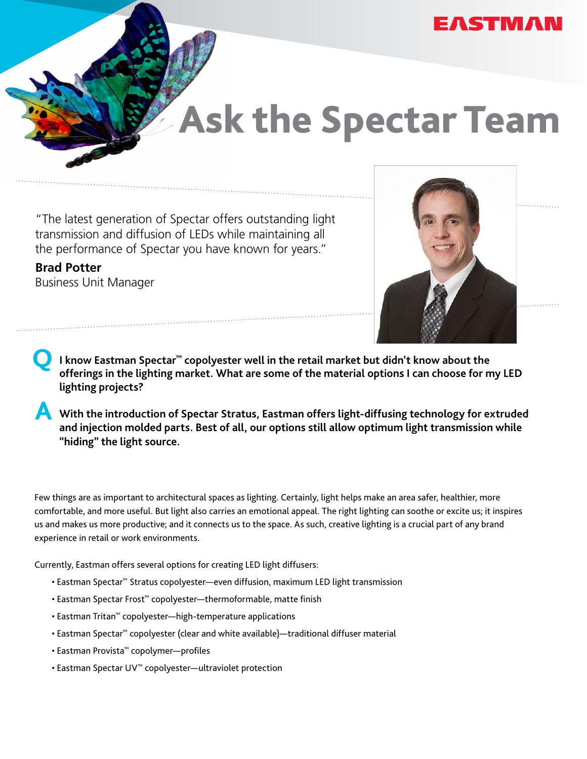

## Ask the Spectar Team

"The latest generation of Spectar offers outstanding light transmission and diffusion of LEDs while maintaining all the performance of Spectar you have known for years."

**Brad Potter** Business Unit Manager



■ I know Eastman Spectar™ copolyester well in the retail market but didn't know about the afformation of the material extinct of the material extinct of the set of the material extinct of the set of the material extinct o **offerings in the lighting market. What are some of the material options I can choose for my LED lighting projects?**

**A With the introduction of Spectar Stratus, Eastman offers light-diffusing technology for extruded and injection molded parts. Best of all, our options still allow optimum light transmission while "hiding" the light source.**

Few things are as important to architectural spaces as lighting. Certainly, light helps make an area safer, healthier, more comfortable, and more useful. But light also carries an emotional appeal. The right lighting can soothe or excite us; it inspires us and makes us more productive; and it connects us to the space. As such, creative lighting is a crucial part of any brand experience in retail or work environments.

Currently, Eastman offers several options for creating LED light diffusers:

- Eastman Spectar™ Stratus copolyester—even diffusion, maximum LED light transmission
- Eastman Spectar Frost™ copolyester—thermoformable, matte finish
- Eastman Tritan™ copolyester—high-temperature applications
- Eastman Spectar™ copolyester (clear and white available)—traditional diffuser material
- Eastman Provista™ copolymer—profiles
- Eastman Spectar UV™ copolyester—ultraviolet protection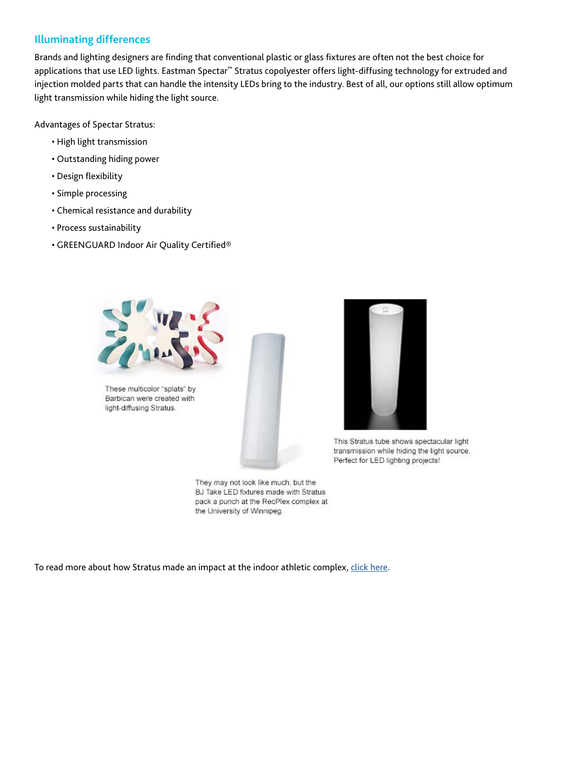## **Illuminating differences**

Brands and lighting designers are finding that conventional plastic or glass fixtures are often not the best choice for applications that use LED lights. Eastman Spectar™ Stratus copolyester offers light-diffusing technology for extruded and injection molded parts that can handle the intensity LEDs bring to the industry. Best of all, our options still allow optimum light transmission while hiding the light source.

Advantages of Spectar Stratus:

- High light transmission
- Outstanding hiding power
- Design flexibility
- Simple processing
- Chemical resistance and durability
- Process sustainability
- GREENGUARD Indoor Air Quality Certified®



These multicolor "splats" by Barbican were created with light-diffusing Stratus.



This Stratus tube shows spectacular light transmission while hiding the light source. Perfect for LED lighting projects!

They may not look like much, but the BJ Take LED fixtures made with Stratus pack a punch at the RecPlex complex at the University of Winnipeg.

To read more about how Stratus made an impact at the indoor athletic complex, [click here.](http://www.eastman.com/Literature_Center/S/SPMBS1110.pdf?utm_source=Spectar%20Stratus&utm_medium=Email%20&utm_campaign=Ask%20the%20Spectar%20Team)